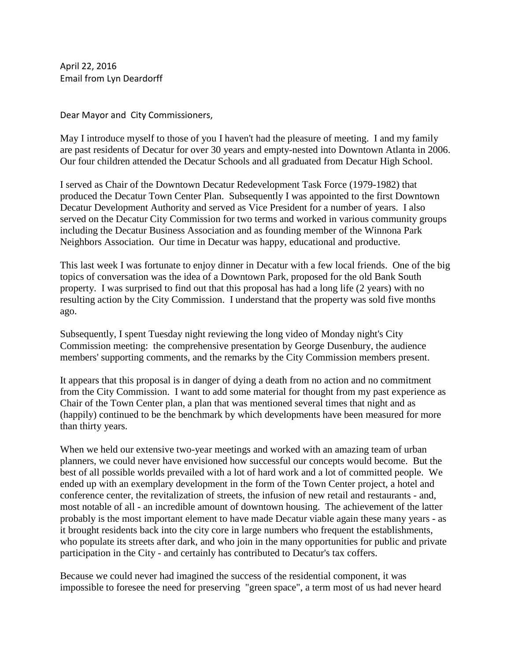April 22, 2016 Email from Lyn Deardorff

Dear Mayor and City Commissioners,

May I introduce myself to those of you I haven't had the pleasure of meeting. I and my family are past residents of Decatur for over 30 years and empty-nested into Downtown Atlanta in 2006. Our four children attended the Decatur Schools and all graduated from Decatur High School.

I served as Chair of the Downtown Decatur Redevelopment Task Force (1979-1982) that produced the Decatur Town Center Plan. Subsequently I was appointed to the first Downtown Decatur Development Authority and served as Vice President for a number of years. I also served on the Decatur City Commission for two terms and worked in various community groups including the Decatur Business Association and as founding member of the Winnona Park Neighbors Association. Our time in Decatur was happy, educational and productive.

This last week I was fortunate to enjoy dinner in Decatur with a few local friends. One of the big topics of conversation was the idea of a Downtown Park, proposed for the old Bank South property. I was surprised to find out that this proposal has had a long life (2 years) with no resulting action by the City Commission. I understand that the property was sold five months ago.

Subsequently, I spent Tuesday night reviewing the long video of Monday night's City Commission meeting: the comprehensive presentation by George Dusenbury, the audience members' supporting comments, and the remarks by the City Commission members present.

It appears that this proposal is in danger of dying a death from no action and no commitment from the City Commission. I want to add some material for thought from my past experience as Chair of the Town Center plan, a plan that was mentioned several times that night and as (happily) continued to be the benchmark by which developments have been measured for more than thirty years.

When we held our extensive two-year meetings and worked with an amazing team of urban planners, we could never have envisioned how successful our concepts would become. But the best of all possible worlds prevailed with a lot of hard work and a lot of committed people. We ended up with an exemplary development in the form of the Town Center project, a hotel and conference center, the revitalization of streets, the infusion of new retail and restaurants - and, most notable of all - an incredible amount of downtown housing. The achievement of the latter probably is the most important element to have made Decatur viable again these many years - as it brought residents back into the city core in large numbers who frequent the establishments, who populate its streets after dark, and who join in the many opportunities for public and private participation in the City - and certainly has contributed to Decatur's tax coffers.

Because we could never had imagined the success of the residential component, it was impossible to foresee the need for preserving "green space", a term most of us had never heard